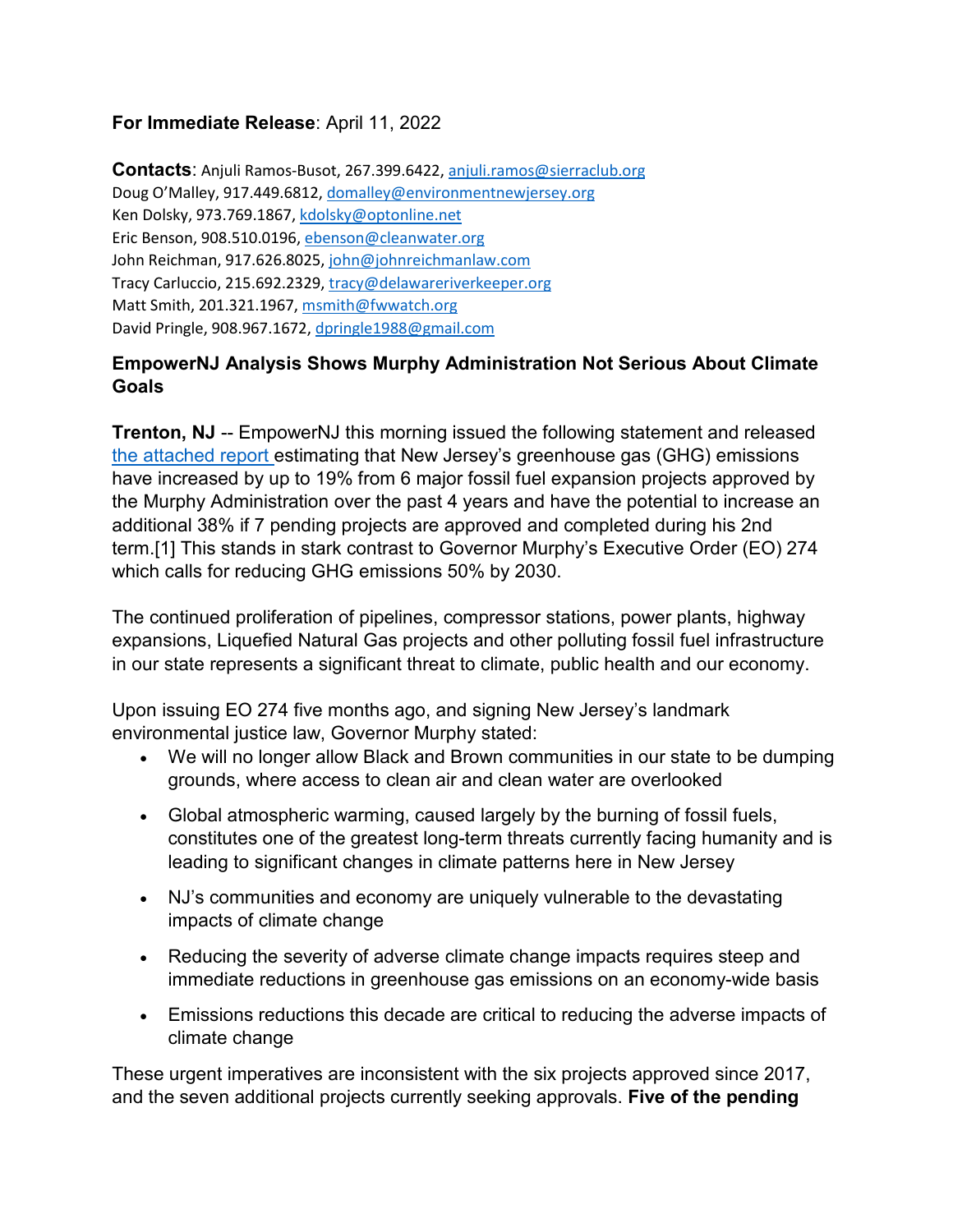## **For Immediate Release**: April 11, 2022

**Contacts**: Anjuli Ramos-Busot, 267.399.6422, [anjuli.ramos@sierraclub.org](mailto:anjuli.ramos@sierraclub.org) Doug O'Malley, 917.449.6812, [domalley@environmentnewjersey.org](mailto:domalley@environmentnewjersey.org) Ken Dolsky, 973.769.1867[, kdolsky@optonline.net](mailto:kdolsky@optonline.net) Eric Benson, 908.510.0196, [ebenson@cleanwater.org](mailto:ebenson@cleanwater.org) John Reichman, 917.626.8025, [john@johnreichmanlaw.com](mailto:john@johnreichmanlaw.com) Tracy Carluccio, 215.692.2329, [tracy@delawareriverkeeper.org](mailto:tracy@delawareriverkeeper.org) Matt Smith, 201.321.1967, [msmith@fwwatch.org](mailto:msmith@fwwatch.org) David Pringle, 908.967.1672[, dpringle1988@gmail.com](mailto:dpringle1988@gmail.com)

## **EmpowerNJ Analysis Shows Murphy Administration Not Serious About Climate Goals**

**Trenton, NJ** -- EmpowerNJ this morning issued the following statement and released [the attached report e](https://www.cleanwateraction.org/sites/default/files/Completed%20and%20Pending%20Fossil%20Fuel%20Projects%2C%20Released%204.11.22.pdf)stimating that New Jersey's greenhouse gas (GHG) emissions have increased by up to 19% from 6 major fossil fuel expansion projects approved by the Murphy Administration over the past 4 years and have the potential to increase an additional 38% if 7 pending projects are approved and completed during his 2nd term.[1] This stands in stark contrast to Governor Murphy's Executive Order (EO) 274 which calls for reducing GHG emissions 50% by 2030.

The continued proliferation of pipelines, compressor stations, power plants, highway expansions, Liquefied Natural Gas projects and other polluting fossil fuel infrastructure in our state represents a significant threat to climate, public health and our economy.

Upon issuing EO 274 five months ago, and signing New Jersey's landmark environmental justice law, Governor Murphy stated:

- We will no longer allow Black and Brown communities in our state to be dumping grounds, where access to clean air and clean water are overlooked
- Global atmospheric warming, caused largely by the burning of fossil fuels, constitutes one of the greatest long-term threats currently facing humanity and is leading to significant changes in climate patterns here in New Jersey
- NJ's communities and economy are uniquely vulnerable to the devastating impacts of climate change
- Reducing the severity of adverse climate change impacts requires steep and immediate reductions in greenhouse gas emissions on an economy-wide basis
- Emissions reductions this decade are critical to reducing the adverse impacts of climate change

These urgent imperatives are inconsistent with the six projects approved since 2017, and the seven additional projects currently seeking approvals. **Five of the pending**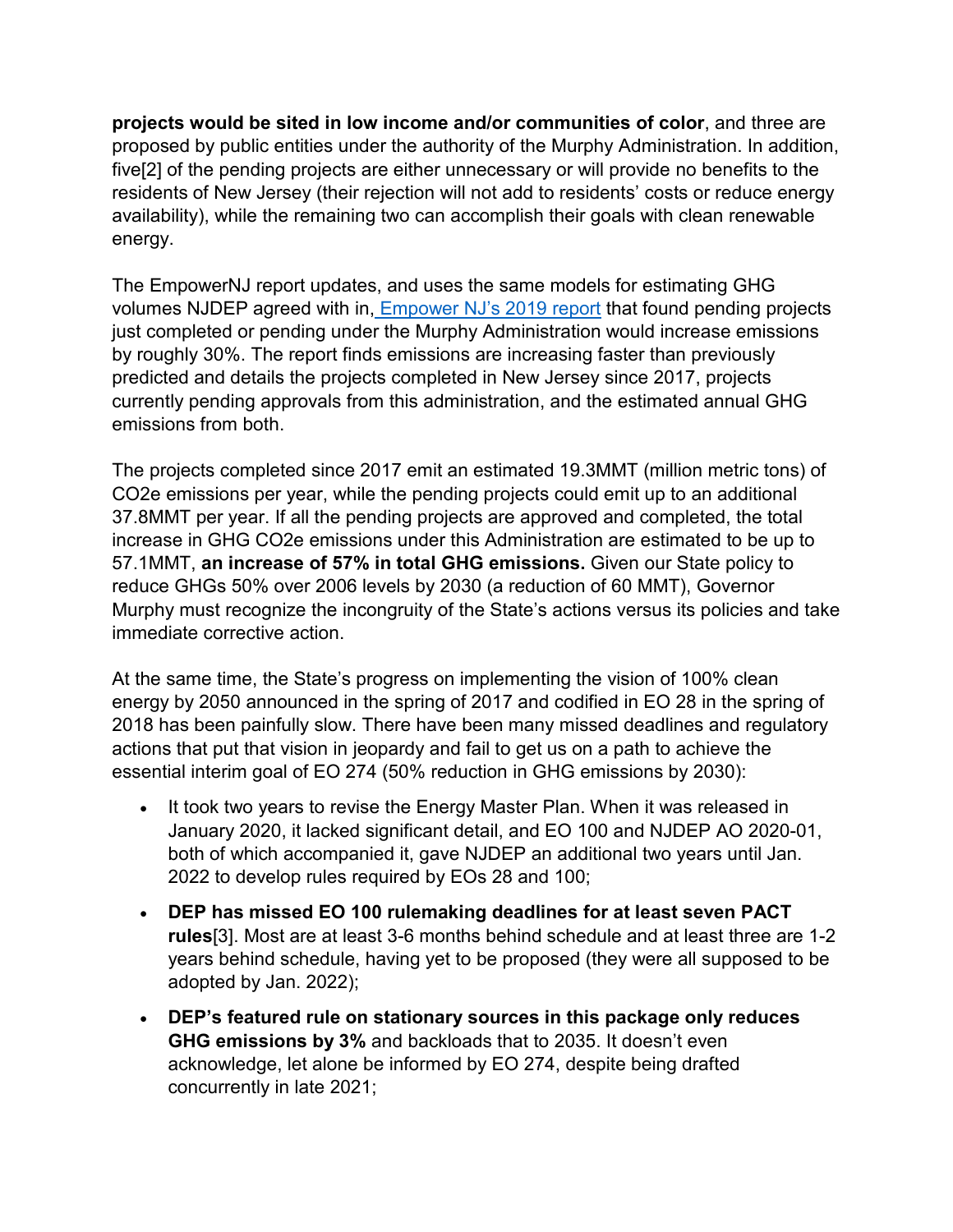**projects would be sited in low income and/or communities of color**, and three are proposed by public entities under the authority of the Murphy Administration. In addition, five[2] of the pending projects are either unnecessary or will provide no benefits to the residents of New Jersey (their rejection will not add to residents' costs or reduce energy availability), while the remaining two can accomplish their goals with clean renewable energy.

The EmpowerNJ report updates, and uses the same models for estimating GHG volumes NJDEP agreed with in, [Empower NJ's 2019 report](http://empowernewjersey.com/wp-content/uploads/2019/02/EmpowerNJ_Report_190211_Color.pdf) that found pending projects just completed or pending under the Murphy Administration would increase emissions by roughly 30%. The report finds emissions are increasing faster than previously predicted and details the projects completed in New Jersey since 2017, projects currently pending approvals from this administration, and the estimated annual GHG emissions from both.

The projects completed since 2017 emit an estimated 19.3MMT (million metric tons) of CO2e emissions per year, while the pending projects could emit up to an additional 37.8MMT per year. If all the pending projects are approved and completed, the total increase in GHG CO2e emissions under this Administration are estimated to be up to 57.1MMT, **an increase of 57% in total GHG emissions.** Given our State policy to reduce GHGs 50% over 2006 levels by 2030 (a reduction of 60 MMT), Governor Murphy must recognize the incongruity of the State's actions versus its policies and take immediate corrective action.

At the same time, the State's progress on implementing the vision of 100% clean energy by 2050 announced in the spring of 2017 and codified in EO 28 in the spring of 2018 has been painfully slow. There have been many missed deadlines and regulatory actions that put that vision in jeopardy and fail to get us on a path to achieve the essential interim goal of EO 274 (50% reduction in GHG emissions by 2030):

- It took two years to revise the Energy Master Plan. When it was released in January 2020, it lacked significant detail, and EO 100 and NJDEP AO 2020-01, both of which accompanied it, gave NJDEP an additional two years until Jan. 2022 to develop rules required by EOs 28 and 100;
- **DEP has missed EO 100 rulemaking deadlines for at least seven PACT rules**[3]. Most are at least 3-6 months behind schedule and at least three are 1-2 years behind schedule, having yet to be proposed (they were all supposed to be adopted by Jan. 2022);
- **DEP's featured rule on stationary sources in this package only reduces GHG emissions by 3%** and backloads that to 2035. It doesn't even acknowledge, let alone be informed by EO 274, despite being drafted concurrently in late 2021;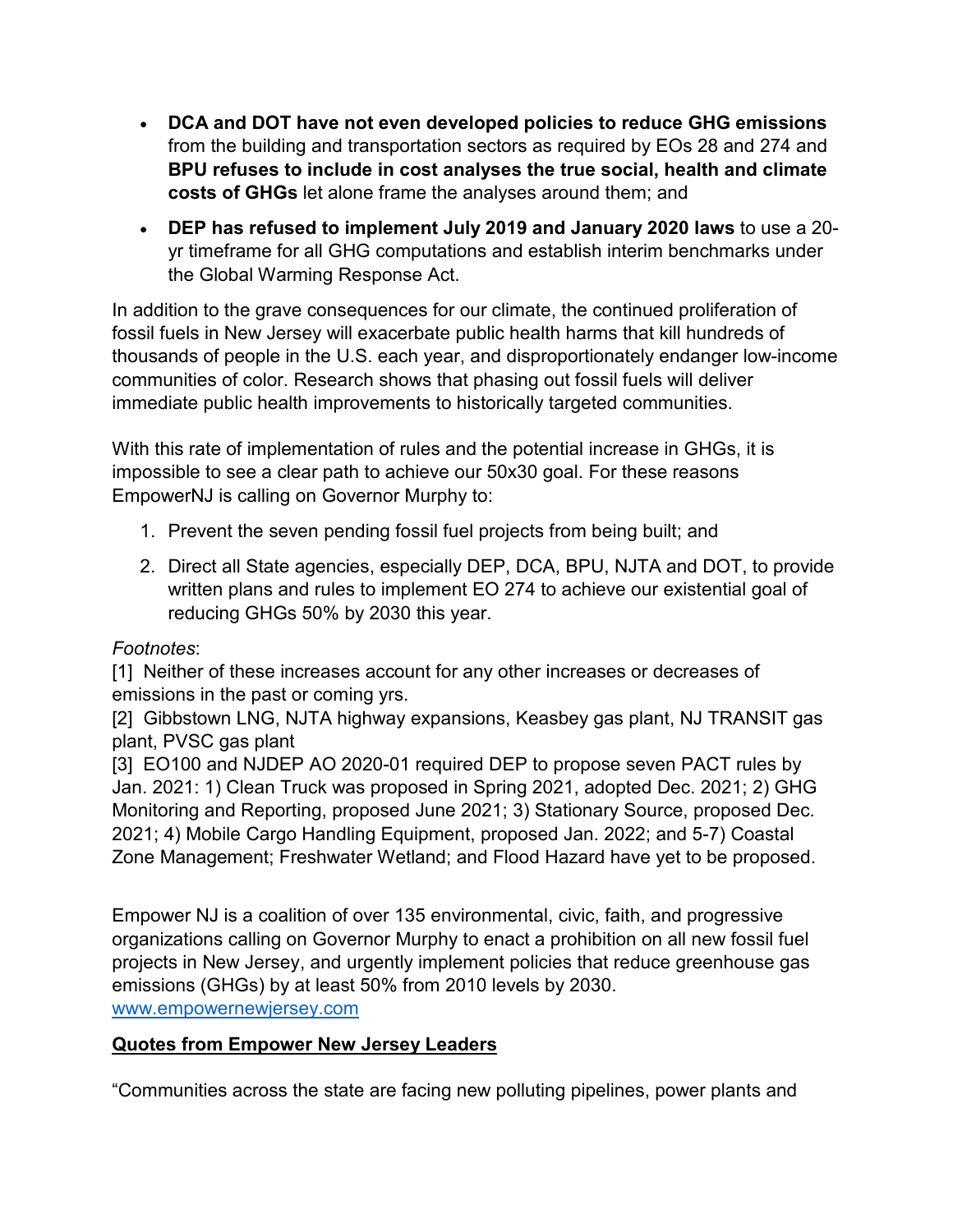- **DCA and DOT have not even developed policies to reduce GHG emissions** from the building and transportation sectors as required by EOs 28 and 274 and **BPU refuses to include in cost analyses the true social, health and climate costs of GHGs** let alone frame the analyses around them; and
- **DEP has refused to implement July 2019 and January 2020 laws** to use a 20 yr timeframe for all GHG computations and establish interim benchmarks under the Global Warming Response Act.

In addition to the grave consequences for our climate, the continued proliferation of fossil fuels in New Jersey will exacerbate public health harms that kill hundreds of thousands of people in the U.S. each year, and disproportionately endanger low-income communities of color. Research shows that phasing out fossil fuels will deliver immediate public health improvements to historically targeted communities.

With this rate of implementation of rules and the potential increase in GHGs, it is impossible to see a clear path to achieve our 50x30 goal. For these reasons EmpowerNJ is calling on Governor Murphy to:

- 1. Prevent the seven pending fossil fuel projects from being built; and
- 2. Direct all State agencies, especially DEP, DCA, BPU, NJTA and DOT, to provide written plans and rules to implement EO 274 to achieve our existential goal of reducing GHGs 50% by 2030 this year.

## *Footnotes*:

[1] Neither of these increases account for any other increases or decreases of emissions in the past or coming yrs.

[2] Gibbstown LNG, NJTA highway expansions, Keasbey gas plant, NJ TRANSIT gas plant, PVSC gas plant

[3] EO100 and NJDEP AO 2020-01 required DEP to propose seven PACT rules by Jan. 2021: 1) Clean Truck was proposed in Spring 2021, adopted Dec. 2021; 2) GHG Monitoring and Reporting, proposed June 2021; 3) Stationary Source, proposed Dec. 2021; 4) Mobile Cargo Handling Equipment, proposed Jan. 2022; and 5-7) Coastal Zone Management; Freshwater Wetland; and Flood Hazard have yet to be proposed.

Empower NJ is a coalition of over 135 environmental, civic, faith, and progressive organizations calling on Governor Murphy to enact a prohibition on all new fossil fuel projects in New Jersey, and urgently implement policies that reduce greenhouse gas emissions (GHGs) by at least 50% from 2010 levels by 2030[.](http://www.empowernewjersey.com/)

[www.empowernewjersey.com](http://www.empowernewjersey.com/)

## **Quotes from Empower New Jersey Leaders**

"Communities across the state are facing new polluting pipelines, power plants and